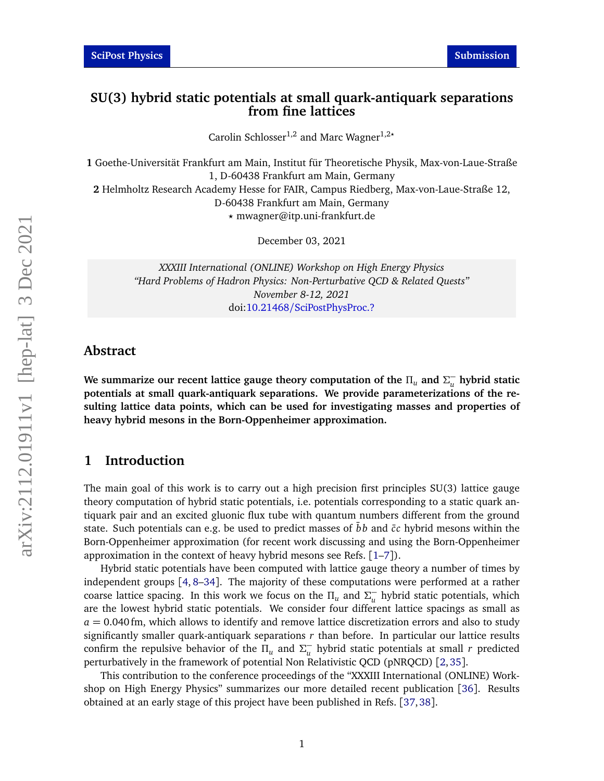## **SU(3) hybrid static potentials at small quark-antiquark separations from fine lattices**

Carolin Schlosser<sup>1,2</sup> and Marc Wagner<sup>1,2</sup><sup>\*</sup>

**1** Goethe-Universität Frankfurt am Main, Institut für Theoretische Physik, Max-von-Laue-Straße 1, D-60438 Frankfurt am Main, Germany **2** Helmholtz Research Academy Hesse for FAIR, Campus Riedberg, Max-von-Laue-Straße 12,

D-60438 Frankfurt am Main, Germany

*?* mwagner@itp.uni-frankfurt.de

December 03, 2021

*XXXIII International (ONLINE) Workshop on High Energy Physics "Hard Problems of Hadron Physics: Non-Perturbative QCD & Related Quests" November 8-12, 2021* doi:10.21468/[SciPostPhysProc.?](https://doi.org/10.21468/SciPostPhysProc.?)

### **Abstract**

**We summarize our recent lattice gauge theory computation of the** *Π<sup>u</sup>* **and** *Σ* − *u* **hybrid static potentials at small quark-antiquark separations. We provide parameterizations of the resulting lattice data points, which can be used for investigating masses and properties of heavy hybrid mesons in the Born-Oppenheimer approximation.**

## **1 Introduction**

The main goal of this work is to carry out a high precision first principles SU(3) lattice gauge theory computation of hybrid static potentials, i.e. potentials corresponding to a static quark antiquark pair and an excited gluonic flux tube with quantum numbers different from the ground state. Such potentials can e.g. be used to predict masses of  $\bar{b}b$  and  $\bar{c}c$  hybrid mesons within the Born-Oppenheimer approximation (for recent work discussing and using the Born-Oppenheimer approximation in the context of heavy hybrid mesons see Refs. [[1](#page-6-0)[–7](#page-6-1)]).

Hybrid static potentials have been computed with lattice gauge theory a number of times by independent groups [[4,](#page-6-2) [8](#page-6-3)[–34](#page-8-0)]. The majority of these computations were performed at a rather coarse lattice spacing. In this work we focus on the  $\Pi_u$  and  $\Sigma_u^ _{u}^{-}$  hybrid static potentials, which are the lowest hybrid static potentials. We consider four different lattice spacings as small as  $a = 0.040$  fm, which allows to identify and remove lattice discretization errors and also to study significantly smaller quark-antiquark separations *r* than before. In particular our lattice results confirm the repulsive behavior of the  $\Pi_u$  and  $\Sigma_u^$ *u* hybrid static potentials at small *r* predicted perturbatively in the framework of potential Non Relativistic QCD (pNRQCD) [[2,](#page-6-4)[35](#page-8-1)].

This contribution to the conference proceedings of the "XXXIII International (ONLINE) Workshop on High Energy Physics" summarizes our more detailed recent publication [[36](#page-8-2)]. Results obtained at an early stage of this project have been published in Refs. [[37,](#page-8-3)[38](#page-8-4)].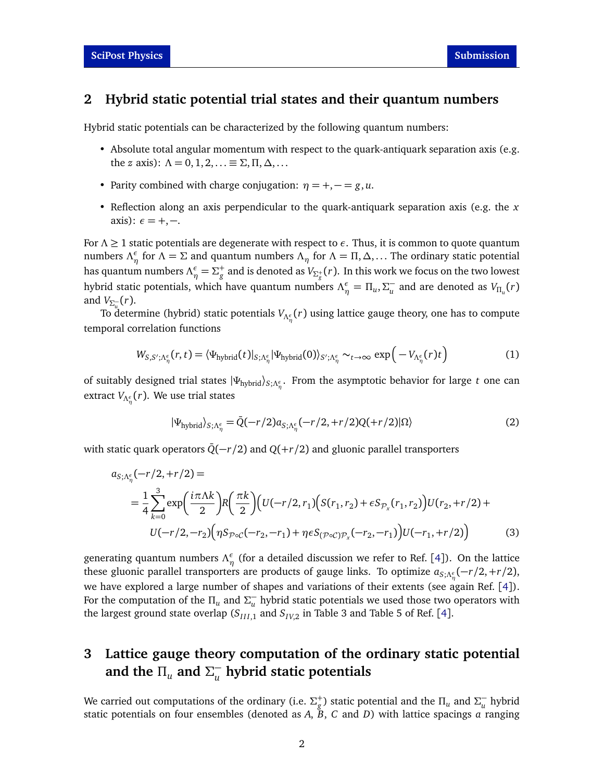### **2 Hybrid static potential trial states and their quantum numbers**

Hybrid static potentials can be characterized by the following quantum numbers:

- Absolute total angular momentum with respect to the quark-antiquark separation axis (e.g. the *z* axis):  $\Lambda = 0, 1, 2, \ldots \equiv \Sigma, \Pi, \Delta, \ldots$
- Parity combined with charge conjugation:  $\eta = +, = g, u$ .
- Reflection along an axis perpendicular to the quark-antiquark separation axis (e.g. the *x* axis):  $\epsilon = +,-$ .

For *Λ* ≥ 1 static potentials are degenerate with respect to *ε*. Thus, it is common to quote quantum numbers  $\Lambda_{\eta}^{\epsilon}$  for  $\Lambda = \Sigma$  and quantum numbers  $\Lambda_{\eta}$  for  $\Lambda = \Pi, \Delta, \dots$  The ordinary static potential has quantum numbers  $\Lambda^{\epsilon}_\eta=\Sigma^+_g$  and is denoted as  $V_{\Sigma^+_g}(r).$  In this work we focus on the two lowest hybrid static potentials, which have quantum numbers  $\Lambda^{\epsilon}_{\eta} = \Pi_{u}$ ,  $\Sigma_{u}^{-}$  $_{u}^{-}$  and are denoted as  $V_{\Pi_u}(r)$ and  $V_{\Sigma_{u}^-}(r)$ .

To determine (hybrid) static potentials *VΛ<sup>ε</sup> η* (*r*) using lattice gauge theory, one has to compute temporal correlation functions

<span id="page-1-0"></span>
$$
W_{S,S';\Lambda_{\eta}^{\epsilon}}(r,t) = \langle \Psi_{\text{hybrid}}(t)|_{S;\Lambda_{\eta}^{\epsilon}} |\Psi_{\text{hybrid}}(0)\rangle_{S';\Lambda_{\eta}^{\epsilon}} \sim_{t \to \infty} \exp\left(-V_{\Lambda_{\eta}^{\epsilon}}(r)t\right)
$$
(1)

of suitably designed trial states |*Ψ*hybrid〉*S*;*Λ<sup>ε</sup> η* . From the asymptotic behavior for large *t* one can extract *VΛ<sup>ε</sup> η* (*r*). We use trial states

$$
|\Psi_{\text{hybrid}}\rangle_{S;\Lambda_{\eta}^{\epsilon}} = \bar{Q}(-r/2)a_{S;\Lambda_{\eta}^{\epsilon}}(-r/2, +r/2)Q(+r/2)|\Omega\rangle
$$
\n(2)

with static quark operators  $\overline{Q}(-r/2)$  and  $Q(+r/2)$  and gluonic parallel transporters

$$
a_{S;\Lambda_{\eta}^{\epsilon}}(-r/2, +r/2) =
$$
  
=  $\frac{1}{4} \sum_{k=0}^{3} \exp\left(\frac{i\pi \Lambda k}{2}\right) R\left(\frac{\pi k}{2}\right) \left(U(-r/2, r_1) \left(S(r_1, r_2) + \epsilon S_{\mathcal{P}_x}(r_1, r_2)\right) U(r_2, +r/2) + U(-r/2, -r_2) \left(\eta S_{\mathcal{P}\circ\mathcal{C}}(-r_2, -r_1) + \eta \epsilon S_{(\mathcal{P}\circ\mathcal{C})\mathcal{P}_x}(-r_2, -r_1)\right) U(-r_1, +r/2)$  (3)

generating quantum numbers  $Λ<sup>ε</sup><sub>η</sub>$  (for a detailed discussion we refer to Ref. [[4](#page-6-2)]). On the lattice these gluonic parallel transporters are products of gauge links. To optimize *aS*;*Λ<sup>ε</sup> η* (−*r/*2,+*r/*2), we have explored a large number of shapes and variations of their extents (see again Ref. [[4](#page-6-2)]). For the computation of the  $\Pi_u$  and  $\Sigma_u^$ *u* hybrid static potentials we used those two operators with the largest ground state overlap ( $S_{III,1}$  and  $S_{IV,2}$  in Table 3 and Table 5 of Ref. [[4](#page-6-2)].

### **3 Lattice gauge theory computation of the ordinary static potential** and the  $\Pi_u$  and  $\Sigma_u^$ *u* **hybrid static potentials**

We carried out computations of the ordinary (i.e.  $\Sigma_g^+$ ) static potential and the  $\Pi_u$  and  $\Sigma_u^$ *u* hybrid static potentials on four ensembles (denoted as *A*, *B*, *C* and *D*) with lattice spacings *a* ranging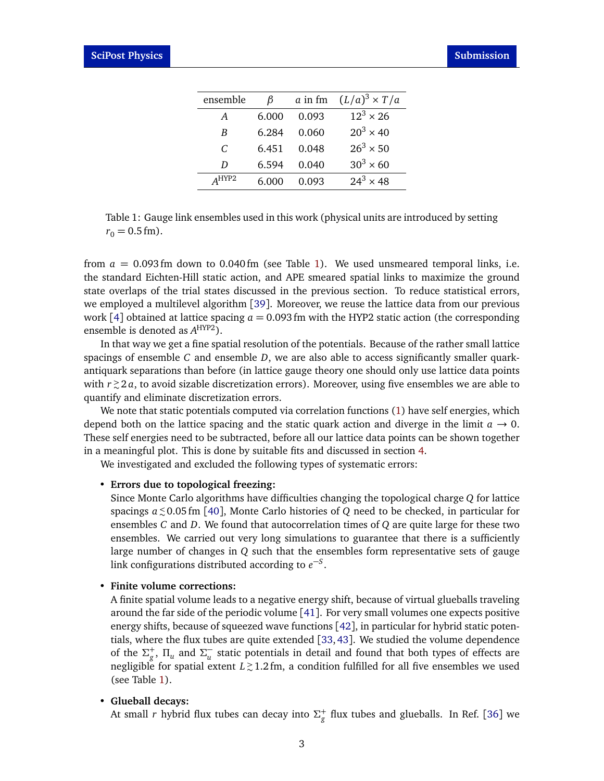<span id="page-2-0"></span>

| ensemble         | ß     | a in fm | $(L/a)^3 \times T/a$ |
|------------------|-------|---------|----------------------|
| A                | 6.000 | 0.093   | $12^3 \times 26$     |
| B                | 6.284 | 0.060   | $20^3 \times 40$     |
| C                | 6.451 | 0.048   | $26^3 \times 50$     |
| D                | 6.594 | 0.040   | $30^3 \times 60$     |
| $\triangle$ HYP2 | 6.000 | 0.093   | $24^3 \times 48$     |

Table 1: Gauge link ensembles used in this work (physical units are introduced by setting  $r_0 = 0.5$  fm).

from  $a = 0.093$  fm down to 0.040 fm (see Table [1\)](#page-2-0). We used unsmeared temporal links, i.e. the standard Eichten-Hill static action, and APE smeared spatial links to maximize the ground state overlaps of the trial states discussed in the previous section. To reduce statistical errors, we employed a multilevel algorithm [[39](#page-8-5)]. Moreover, we reuse the lattice data from our previous work [[4](#page-6-2)] obtained at lattice spacing  $a = 0.093$  fm with the HYP2 static action (the corresponding ensemble is denoted as *A* HYP2).

In that way we get a fine spatial resolution of the potentials. Because of the rather small lattice spacings of ensemble *C* and ensemble *D*, we are also able to access significantly smaller quarkantiquark separations than before (in lattice gauge theory one should only use lattice data points with *r <sup>&</sup>gt;* ∼ 2 *a*, to avoid sizable discretization errors). Moreover, using five ensembles we are able to quantify and eliminate discretization errors.

We note that static potentials computed via correlation functions [\(1\)](#page-1-0) have self energies, which depend both on the lattice spacing and the static quark action and diverge in the limit  $a \rightarrow 0$ . These self energies need to be subtracted, before all our lattice data points can be shown together in a meaningful plot. This is done by suitable fits and discussed in section [4.](#page-3-0)

We investigated and excluded the following types of systematic errors:

#### • **Errors due to topological freezing:**

Since Monte Carlo algorithms have difficulties changing the topological charge *Q* for lattice spacings *a <sup>&</sup>lt;* <sup>∼</sup> 0.05 fm [[40](#page-8-6)], Monte Carlo histories of *Q* need to be checked, in particular for ensembles *C* and *D*. We found that autocorrelation times of *Q* are quite large for these two ensembles. We carried out very long simulations to guarantee that there is a sufficiently large number of changes in *Q* such that the ensembles form representative sets of gauge link configurations distributed according to  $e^{-S}$ .

#### • **Finite volume corrections:**

A finite spatial volume leads to a negative energy shift, because of virtual glueballs traveling around the far side of the periodic volume  $[41]$  $[41]$  $[41]$ . For very small volumes one expects positive energy shifts, because of squeezed wave functions [[42](#page-8-8)], in particular for hybrid static potentials, where the flux tubes are quite extended [[33,](#page-8-9)[43](#page-8-10)]. We studied the volume dependence of the  $\Sigma_g^+$ ,  $\Pi_u$  and  $\Sigma_u^ _{u}^{-}$  static potentials in detail and found that both types of effects are negligible for spatial extent *L <sup>&</sup>gt;* ∼ 1.2 fm, a condition fulfilled for all five ensembles we used (see Table [1\)](#page-2-0).

#### • **Glueball decays:**

At small  $r$  hybrid flux tubes can decay into  $\Sigma_g^+$  flux tubes and glueballs. In Ref. [[36](#page-8-2)] we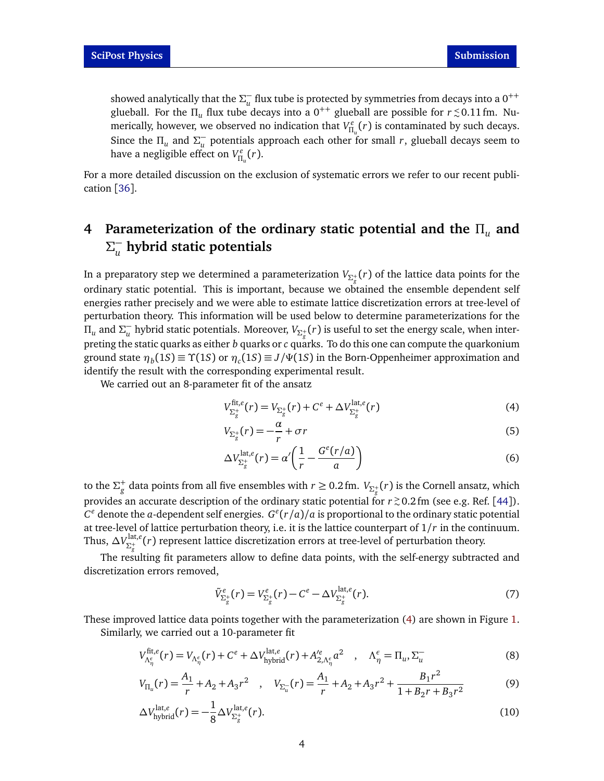showed analytically that the  $\Sigma_u^ _{u}^{-}$  flux tube is protected by symmetries from decays into a 0<sup>++</sup> glueball. For the  $\Pi_u$  flux tube decays into a  $0^{++}$  glueball are possible for  $r \, {\lesssim} \, 0.11\, \text{fm}$ . Numerically, however, we observed no indication that  $V_{\Pi_u}^e(r)$  is contaminated by such decays. Since the  $\Pi_u$  and  $\Sigma_u^$ *u* potentials approach each other for small *r*, glueball decays seem to have a negligible effect on  $V_{\Pi_u}^e(r).$ 

For a more detailed discussion on the exclusion of systematic errors we refer to our recent publication [[36](#page-8-2)].

### <span id="page-3-0"></span>**4 Parameterization of the ordinary static potential and the** *Π<sup>u</sup>* **and** *Σ* − *u* **hybrid static potentials**

In a preparatory step we determined a parameterization  $V_{\Sigma^+_g}(r)$  of the lattice data points for the ordinary static potential. This is important, because we obtained the ensemble dependent self energies rather precisely and we were able to estimate lattice discretization errors at tree-level of perturbation theory. This information will be used below to determine parameterizations for the *Π<sup>u</sup>* and *Σ* −  $_u^-$  hybrid static potentials. Moreover,  $V_{\Sigma^+_{g}}(r)$  is useful to set the energy scale, when interpreting the static quarks as either *b* quarks or *c* quarks. To do this one can compute the quarkonium ground state  $\eta_b(1S) \equiv \Upsilon(1S)$  or  $\eta_c(1S) \equiv J/\Psi(1S)$  in the Born-Oppenheimer approximation and identify the result with the corresponding experimental result.

We carried out an 8-parameter fit of the ansatz

<span id="page-3-1"></span>
$$
V_{\Sigma_{g}^{+}}^{\text{fit},e}(r) = V_{\Sigma_{g}^{+}}(r) + C^{e} + \Delta V_{\Sigma_{g}^{+}}^{\text{lat},e}(r)
$$
\n(4)

$$
V_{\Sigma_{g}^{+}}(r) = -\frac{\alpha}{r} + \sigma r \tag{5}
$$

$$
\Delta V_{\Sigma_{g}^{+}}^{\mathrm{lat},e}(r) = \alpha' \left( \frac{1}{r} - \frac{G^{e}(r/a)}{a} \right)
$$
\n(6)

to the  $\Sigma_g^+$  data points from all five ensembles with  $r \ge 0.2$  fm.  $V_{\Sigma_g^+}(r)$  is the Cornell ansatz, which provides an accurate description of the ordinary static potential for  $r \gtrsim 0.2\,\text{fm}$  (see e.g. Ref. [[44](#page-8-11)]).  $C^e$  denote the *a*-dependent self energies.  $G^e(r/a)/a$  is proportional to the ordinary static potential at tree-level of lattice perturbation theory, i.e. it is the lattice counterpart of 1*/r* in the continuum. Thus,  $\Delta V_{\Sigma^+}^{\text{lat},e}$ *Σ*+ *g* (*r*) represent lattice discretization errors at tree-level of perturbation theory.

The resulting fit parameters allow to define data points, with the self-energy subtracted and discretization errors removed,

<span id="page-3-2"></span>
$$
\tilde{V}_{\Sigma_{g}^{+}}^{e}(r) = V_{\Sigma_{g}^{+}}^{e}(r) - C^{e} - \Delta V_{\Sigma_{g}^{+}}^{\text{lat},e}(r). \tag{7}
$$

These improved lattice data points together with the parameterization [\(4\)](#page-3-1) are shown in Figure [1.](#page-4-0) Similarly, we carried out a 10-parameter fit

<span id="page-3-3"></span>
$$
V_{\Lambda_{\eta}^{\epsilon}}^{\text{fit}, e}(r) = V_{\Lambda_{\eta}^{\epsilon}}(r) + C^{\epsilon} + \Delta V_{\text{hybrid}}^{\text{lat}, e}(r) + A_{2, \Lambda_{\eta}^{\epsilon}}^{\prime e} a^2 \quad , \quad \Lambda_{\eta}^{\epsilon} = \Pi_u, \Sigma_u^- \tag{8}
$$

$$
V_{\Pi_u}(r) = \frac{A_1}{r} + A_2 + A_3 r^2 \quad , \quad V_{\Sigma_u}(r) = \frac{A_1}{r} + A_2 + A_3 r^2 + \frac{B_1 r^2}{1 + B_2 r + B_3 r^2} \tag{9}
$$

$$
\Delta V_{\text{hybrid}}^{\text{lat},e}(r) = -\frac{1}{8} \Delta V_{\Sigma_{g}^{+}}^{\text{lat},e}(r). \tag{10}
$$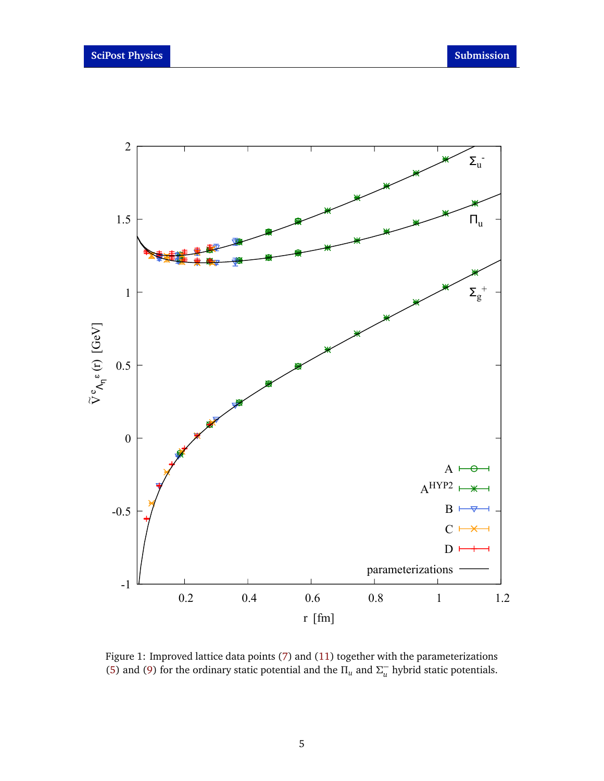<span id="page-4-0"></span>

Figure 1: Improved lattice data points [\(7\)](#page-3-2) and [\(11\)](#page-5-0) together with the parameterizations [\(5\)](#page-3-1) and [\(9\)](#page-3-3) for the ordinary static potential and the  $\Pi_u$  and  $\Sigma_u^$ *u* hybrid static potentials.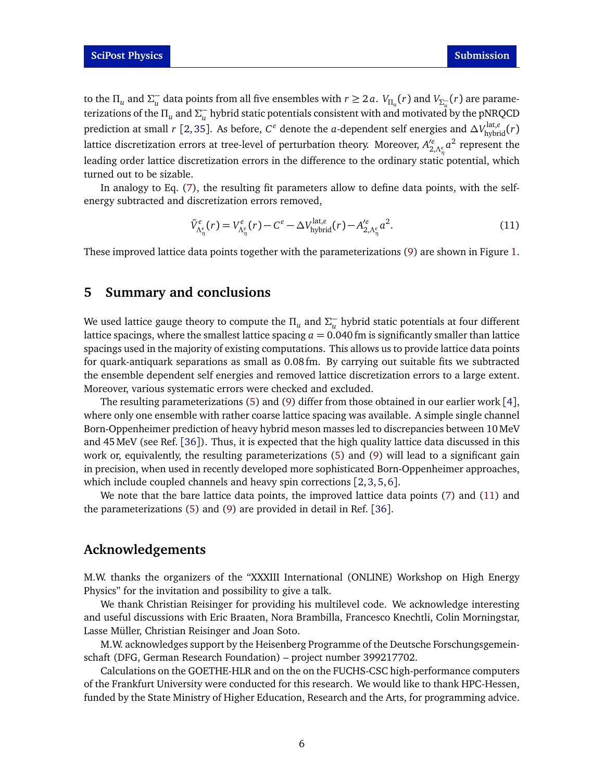to the  $\Pi_u$  and  $\Sigma_u^ \frac{1}{u}$  data points from all five ensembles with  $r \geq 2a$ .  $V_{\Pi_u}(r)$  and  $V_{\Sigma_u^-}(r)$  are parameterizations of the  $\Pi_u$  and  $\Sigma_u^ _u^-$  hybrid static potentials consistent with and motivated by the pNRQCD prediction at small *r* [[2,](#page-6-4)[35](#page-8-1)]. As before,  $C^e$  denote the *a*-dependent self energies and  $\Delta V_{\rm hybrid}^{\rm lat,e}(r)$ lattice discretization errors at tree-level of perturbation theory. Moreover,  $A'^e_{2,\Lambda^e_\eta}a^2$  represent the leading order lattice discretization errors in the difference to the ordinary static potential, which turned out to be sizable.

In analogy to Eq. [\(7\)](#page-3-2), the resulting fit parameters allow to define data points, with the selfenergy subtracted and discretization errors removed,

<span id="page-5-0"></span>
$$
\tilde{V}_{\Lambda_{\eta}^{\epsilon}}^{e}(r) = V_{\Lambda_{\eta}^{\epsilon}}^{e}(r) - C^e - \Delta V_{\text{hybrid}}^{\text{lat},e}(r) - A_{2,\Lambda_{\eta}^{\epsilon}}^{e} a^2.
$$
\n(11)

These improved lattice data points together with the parameterizations [\(9\)](#page-3-3) are shown in Figure [1.](#page-4-0)

## **5 Summary and conclusions**

We used lattice gauge theory to compute the *Π<sup>u</sup>* and *Σ* −  $_u^-$  hybrid static potentials at four different lattice spacings, where the smallest lattice spacing  $a = 0.040$  fm is significantly smaller than lattice spacings used in the majority of existing computations. This allows us to provide lattice data points for quark-antiquark separations as small as 0.08 fm. By carrying out suitable fits we subtracted the ensemble dependent self energies and removed lattice discretization errors to a large extent. Moreover, various systematic errors were checked and excluded.

The resulting parameterizations [\(5\)](#page-3-1) and [\(9\)](#page-3-3) differ from those obtained in our earlier work [[4](#page-6-2)], where only one ensemble with rather coarse lattice spacing was available. A simple single channel Born-Oppenheimer prediction of heavy hybrid meson masses led to discrepancies between 10MeV and 45MeV (see Ref. [[36](#page-8-2)]). Thus, it is expected that the high quality lattice data discussed in this work or, equivalently, the resulting parameterizations [\(5\)](#page-3-1) and [\(9\)](#page-3-3) will lead to a significant gain in precision, when used in recently developed more sophisticated Born-Oppenheimer approaches, which include coupled channels and heavy spin corrections [[2,](#page-6-4) [3,](#page-6-5) [5,](#page-6-6) [6](#page-6-7)].

We note that the bare lattice data points, the improved lattice data points [\(7\)](#page-3-2) and [\(11\)](#page-5-0) and the parameterizations [\(5\)](#page-3-1) and [\(9\)](#page-3-3) are provided in detail in Ref. [[36](#page-8-2)].

# **Acknowledgements**

M.W. thanks the organizers of the "XXXIII International (ONLINE) Workshop on High Energy Physics" for the invitation and possibility to give a talk.

We thank Christian Reisinger for providing his multilevel code. We acknowledge interesting and useful discussions with Eric Braaten, Nora Brambilla, Francesco Knechtli, Colin Morningstar, Lasse Müller, Christian Reisinger and Joan Soto.

M.W. acknowledges support by the Heisenberg Programme of the Deutsche Forschungsgemeinschaft (DFG, German Research Foundation) – project number 399217702.

Calculations on the GOETHE-HLR and on the on the FUCHS-CSC high-performance computers of the Frankfurt University were conducted for this research. We would like to thank HPC-Hessen, funded by the State Ministry of Higher Education, Research and the Arts, for programming advice.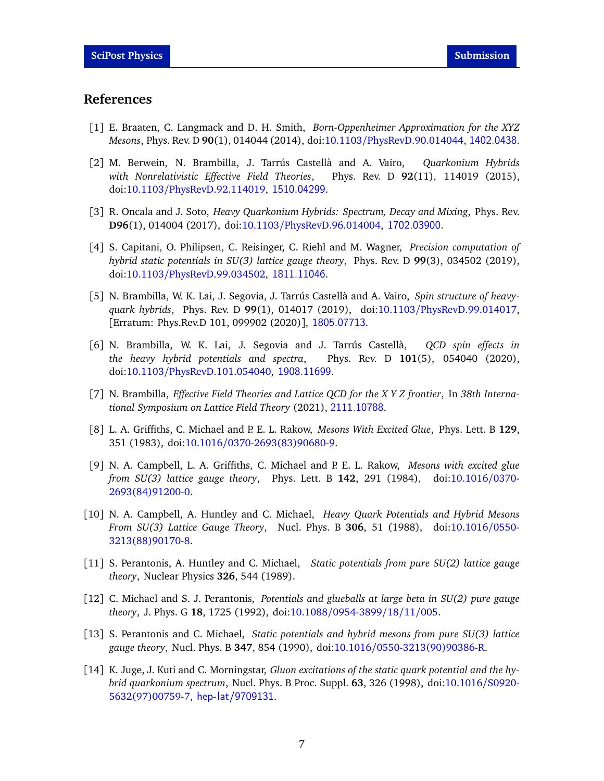## **References**

- <span id="page-6-0"></span>[1] E. Braaten, C. Langmack and D. H. Smith, *Born-Oppenheimer Approximation for the XYZ Mesons*, Phys. Rev. D **90**(1), 014044 (2014), doi:10.1103/[PhysRevD.90.014044,](https://doi.org/10.1103/PhysRevD.90.014044) <1402.0438>.
- <span id="page-6-4"></span>[2] M. Berwein, N. Brambilla, J. Tarrús Castellà and A. Vairo, *Quarkonium Hybrids with Nonrelativistic Effective Field Theories*, Phys. Rev. D **92**(11), 114019 (2015), doi:10.1103/[PhysRevD.92.114019,](https://doi.org/10.1103/PhysRevD.92.114019) <1510.04299>.
- <span id="page-6-5"></span>[3] R. Oncala and J. Soto, *Heavy Quarkonium Hybrids: Spectrum, Decay and Mixing*, Phys. Rev. **D96**(1), 014004 (2017), doi:10.1103/[PhysRevD.96.014004,](https://doi.org/10.1103/PhysRevD.96.014004) <1702.03900>.
- <span id="page-6-2"></span>[4] S. Capitani, O. Philipsen, C. Reisinger, C. Riehl and M. Wagner, *Precision computation of hybrid static potentials in SU(3) lattice gauge theory*, Phys. Rev. D **99**(3), 034502 (2019), doi:10.1103/[PhysRevD.99.034502,](https://doi.org/10.1103/PhysRevD.99.034502) <1811.11046>.
- <span id="page-6-6"></span>[5] N. Brambilla, W. K. Lai, J. Segovia, J. Tarrús Castellà and A. Vairo, *Spin structure of heavyquark hybrids*, Phys. Rev. D **99**(1), 014017 (2019), doi:10.1103/[PhysRevD.99.014017,](https://doi.org/10.1103/PhysRevD.99.014017) [Erratum: Phys.Rev.D 101, 099902 (2020)], <1805.07713>.
- <span id="page-6-7"></span>[6] N. Brambilla, W. K. Lai, J. Segovia and J. Tarrús Castellà, *QCD spin effects in the heavy hybrid potentials and spectra*, Phys. Rev. D **101**(5), 054040 (2020), doi:10.1103/[PhysRevD.101.054040,](https://doi.org/10.1103/PhysRevD.101.054040) <1908.11699>.
- <span id="page-6-1"></span>[7] N. Brambilla, *Effective Field Theories and Lattice QCD for the X Y Z frontier*, In *38th International Symposium on Lattice Field Theory* (2021), <2111.10788>.
- <span id="page-6-3"></span>[8] L. A. Griffiths, C. Michael and P. E. L. Rakow, *Mesons With Excited Glue*, Phys. Lett. B **129**, 351 (1983), doi:10.1016/[0370-2693\(83\)90680-9.](https://doi.org/10.1016/0370-2693(83)90680-9)
- [9] N. A. Campbell, L. A. Griffiths, C. Michael and P. E. L. Rakow, *Mesons with excited glue from SU(3) lattice gauge theory*, Phys. Lett. B **142**, 291 (1984), doi[:10.1016](https://doi.org/10.1016/0370-2693(84)91200-0)/0370- [2693\(84\)91200-0.](https://doi.org/10.1016/0370-2693(84)91200-0)
- [10] N. A. Campbell, A. Huntley and C. Michael, *Heavy Quark Potentials and Hybrid Mesons From SU(3) Lattice Gauge Theory*, Nucl. Phys. B **306**, 51 (1988), doi[:10.1016](https://doi.org/10.1016/0550-3213(88)90170-8)/0550- [3213\(88\)90170-8.](https://doi.org/10.1016/0550-3213(88)90170-8)
- [11] S. Perantonis, A. Huntley and C. Michael, *Static potentials from pure SU(2) lattice gauge theory*, Nuclear Physics **326**, 544 (1989).
- [12] C. Michael and S. J. Perantonis, *Potentials and glueballs at large beta in SU(2) pure gauge theory*, J. Phys. G **18**, 1725 (1992), doi:10.1088/[0954-3899](https://doi.org/10.1088/0954-3899/18/11/005)/18/11/005.
- [13] S. Perantonis and C. Michael, *Static potentials and hybrid mesons from pure SU(3) lattice gauge theory*, Nucl. Phys. B **347**, 854 (1990), doi:10.1016/[0550-3213\(90\)90386-R.](https://doi.org/10.1016/0550-3213(90)90386-R)
- [14] K. Juge, J. Kuti and C. Morningstar, *Gluon excitations of the static quark potential and the hybrid quarkonium spectrum*, Nucl. Phys. B Proc. Suppl. **63**, 326 (1998), doi[:10.1016](https://doi.org/10.1016/S0920-5632(97)00759-7)/S0920- [5632\(97\)00759-7,](https://doi.org/10.1016/S0920-5632(97)00759-7) <hep-lat/9709131>.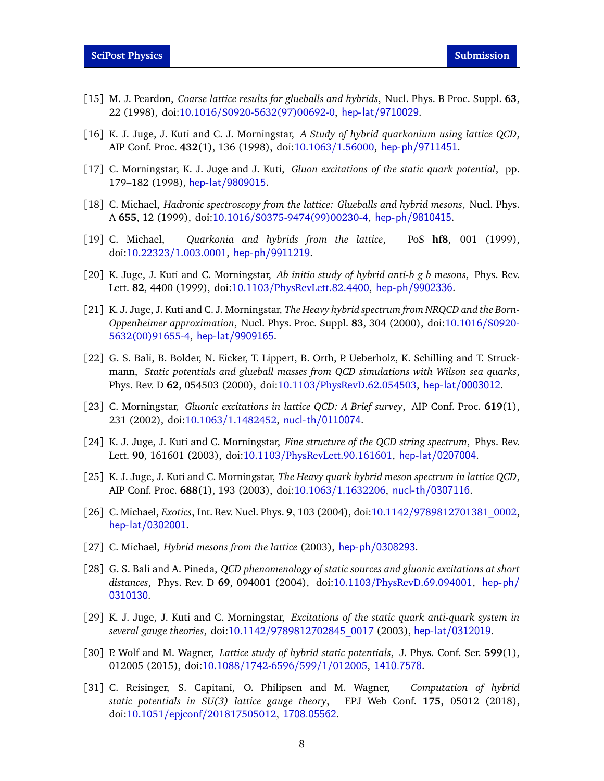- [15] M. J. Peardon, *Coarse lattice results for glueballs and hybrids*, Nucl. Phys. B Proc. Suppl. **63**, 22 (1998), doi:10.1016/[S0920-5632\(97\)00692-0,](https://doi.org/10.1016/S0920-5632(97)00692-0) <hep-lat/9710029>.
- [16] K. J. Juge, J. Kuti and C. J. Morningstar, *A Study of hybrid quarkonium using lattice QCD*, AIP Conf. Proc. **432**(1), 136 (1998), doi[:10.1063](https://doi.org/10.1063/1.56000)/1.56000, <hep-ph/9711451>.
- [17] C. Morningstar, K. J. Juge and J. Kuti, *Gluon excitations of the static quark potential*, pp. 179–182 (1998), <hep-lat/9809015>.
- [18] C. Michael, *Hadronic spectroscopy from the lattice: Glueballs and hybrid mesons*, Nucl. Phys. A **655**, 12 (1999), doi:10.1016/[S0375-9474\(99\)00230-4,](https://doi.org/10.1016/S0375-9474(99)00230-4) <hep-ph/9810415>.
- [19] C. Michael, *Quarkonia and hybrids from the lattice*, PoS **hf8**, 001 (1999), doi:10.22323/[1.003.0001,](https://doi.org/10.22323/1.003.0001) <hep-ph/9911219>.
- [20] K. Juge, J. Kuti and C. Morningstar, *Ab initio study of hybrid anti-b g b mesons*, Phys. Rev. Lett. **82**, 4400 (1999), doi:10.1103/[PhysRevLett.82.4400,](https://doi.org/10.1103/PhysRevLett.82.4400) <hep-ph/9902336>.
- [21] K. J. Juge, J. Kuti and C. J. Morningstar, *The Heavy hybrid spectrum from NRQCD and the Born-Oppenheimer approximation*, Nucl. Phys. Proc. Suppl. **83**, 304 (2000), doi[:10.1016](https://doi.org/10.1016/S0920-5632(00)91655-4)/S0920- [5632\(00\)91655-4,](https://doi.org/10.1016/S0920-5632(00)91655-4) <hep-lat/9909165>.
- [22] G. S. Bali, B. Bolder, N. Eicker, T. Lippert, B. Orth, P. Ueberholz, K. Schilling and T. Struckmann, *Static potentials and glueball masses from QCD simulations with Wilson sea quarks*, Phys. Rev. D **62**, 054503 (2000), doi:10.1103/[PhysRevD.62.054503,](https://doi.org/10.1103/PhysRevD.62.054503) <hep-lat/0003012>.
- [23] C. Morningstar, *Gluonic excitations in lattice QCD: A Brief survey*, AIP Conf. Proc. **619**(1), 231 (2002), doi:10.1063/[1.1482452,](https://doi.org/10.1063/1.1482452) <nucl-th/0110074>.
- [24] K. J. Juge, J. Kuti and C. Morningstar, *Fine structure of the QCD string spectrum*, Phys. Rev. Lett. **90**, 161601 (2003), doi:10.1103/[PhysRevLett.90.161601,](https://doi.org/10.1103/PhysRevLett.90.161601) <hep-lat/0207004>.
- [25] K. J. Juge, J. Kuti and C. Morningstar, *The Heavy quark hybrid meson spectrum in lattice QCD*, AIP Conf. Proc. **688**(1), 193 (2003), doi:10.1063/[1.1632206,](https://doi.org/10.1063/1.1632206) <nucl-th/0307116>.
- [26] C. Michael, *Exotics*, Int. Rev. Nucl. Phys. **9**, 103 (2004), doi:10.1142/[9789812701381\\_0002,](https://doi.org/10.1142/9789812701381_0002) <hep-lat/0302001>.
- [27] C. Michael, *Hybrid mesons from the lattice* (2003), <hep-ph/0308293>.
- [28] G. S. Bali and A. Pineda, *QCD phenomenology of static sources and gluonic excitations at short distances*, Phys. Rev. D **69**, 094001 (2004), doi:10.1103/[PhysRevD.69.094001,](https://doi.org/10.1103/PhysRevD.69.094001) [hep-ph/](hep-ph/0310130) [0310130](hep-ph/0310130).
- [29] K. J. Juge, J. Kuti and C. Morningstar, *Excitations of the static quark anti-quark system in several gauge theories*, doi:10.1142/[9789812702845\\_0017](https://doi.org/10.1142/9789812702845_0017) (2003), <hep-lat/0312019>.
- [30] P. Wolf and M. Wagner, *Lattice study of hybrid static potentials*, J. Phys. Conf. Ser. **599**(1), 012005 (2015), doi:10.1088/[1742-6596](https://doi.org/10.1088/1742-6596/599/1/012005)/599/1/012005, <1410.7578>.
- [31] C. Reisinger, S. Capitani, O. Philipsen and M. Wagner, *Computation of hybrid static potentials in SU(3) lattice gauge theory*, EPJ Web Conf. **175**, 05012 (2018), doi:10.1051/epjconf/[201817505012,](https://doi.org/10.1051/epjconf/201817505012) <1708.05562>.